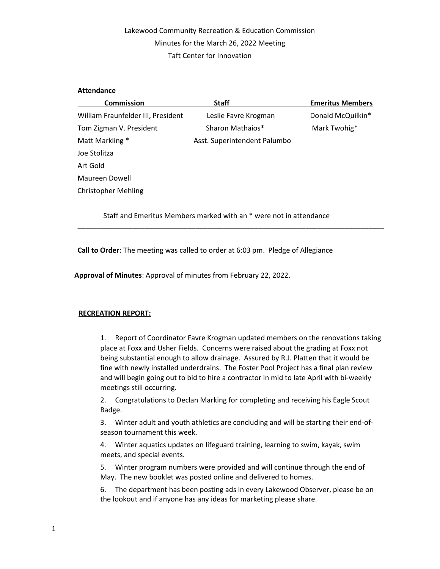# Lakewood Community Recreation & Education Commission Minutes for the March 26, 2022 Meeting Taft Center for Innovation

#### **Attendance**

| <b>Commission</b>                  | <b>Staff</b>                 | <b>Emeritus Members</b> |
|------------------------------------|------------------------------|-------------------------|
| William Fraunfelder III, President | Leslie Favre Krogman         | Donald McQuilkin*       |
| Tom Zigman V. President            | Sharon Mathaios*             | Mark Twohig*            |
| Matt Markling *                    | Asst. Superintendent Palumbo |                         |
| Joe Stolitza                       |                              |                         |
| Art Gold                           |                              |                         |
| Maureen Dowell                     |                              |                         |
| <b>Christopher Mehling</b>         |                              |                         |

Staff and Emeritus Members marked with an \* were not in attendance

\_\_\_\_\_\_\_\_\_\_\_\_\_\_\_\_\_\_\_\_\_\_\_\_\_\_\_\_\_\_\_\_\_\_\_\_\_\_\_\_\_\_\_\_\_\_\_\_\_\_\_\_\_\_\_\_\_\_\_\_\_\_\_\_\_\_\_\_\_\_\_\_\_\_\_\_\_\_

Call to Order: The meeting was called to order at 6:03 pm. Pledge of Allegiance

Approval of Minutes: Approval of minutes from February 22, 2022.

## RECREATION REPORT:

1. Report of Coordinator Favre Krogman updated members on the renovations taking place at Foxx and Usher Fields. Concerns were raised about the grading at Foxx not being substantial enough to allow drainage. Assured by R.J. Platten that it would be fine with newly installed underdrains. The Foster Pool Project has a final plan review and will begin going out to bid to hire a contractor in mid to late April with bi-weekly meetings still occurring.

2. Congratulations to Declan Marking for completing and receiving his Eagle Scout Badge.

3. Winter adult and youth athletics are concluding and will be starting their end-ofseason tournament this week.

4. Winter aquatics updates on lifeguard training, learning to swim, kayak, swim meets, and special events.

5. Winter program numbers were provided and will continue through the end of May. The new booklet was posted online and delivered to homes.

6. The department has been posting ads in every Lakewood Observer, please be on the lookout and if anyone has any ideas for marketing please share.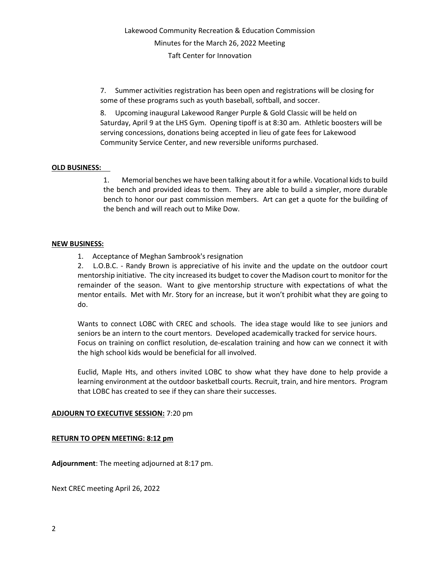7. Summer activities registration has been open and registrations will be closing for some of these programs such as youth baseball, softball, and soccer.

8. Upcoming inaugural Lakewood Ranger Purple & Gold Classic will be held on Saturday, April 9 at the LHS Gym. Opening tipoff is at 8:30 am. Athletic boosters will be serving concessions, donations being accepted in lieu of gate fees for Lakewood Community Service Center, and new reversible uniforms purchased.

## OLD BUSINESS:

1. Memorial benches we have been talking about it for a while. Vocational kids to build the bench and provided ideas to them. They are able to build a simpler, more durable bench to honor our past commission members. Art can get a quote for the building of the bench and will reach out to Mike Dow.

#### NEW BUSINESS:

1. Acceptance of Meghan Sambrook's resignation

2. L.O.B.C. - Randy Brown is appreciative of his invite and the update on the outdoor court mentorship initiative. The city increased its budget to cover the Madison court to monitor for the remainder of the season. Want to give mentorship structure with expectations of what the mentor entails. Met with Mr. Story for an increase, but it won't prohibit what they are going to do.

Wants to connect LOBC with CREC and schools. The idea stage would like to see juniors and seniors be an intern to the court mentors. Developed academically tracked for service hours. Focus on training on conflict resolution, de-escalation training and how can we connect it with the high school kids would be beneficial for all involved.

Euclid, Maple Hts, and others invited LOBC to show what they have done to help provide a learning environment at the outdoor basketball courts. Recruit, train, and hire mentors. Program that LOBC has created to see if they can share their successes.

## ADJOURN TO EXECUTIVE SESSION: 7:20 pm

#### RETURN TO OPEN MEETING: 8:12 pm

Adjournment: The meeting adjourned at 8:17 pm.

Next CREC meeting April 26, 2022